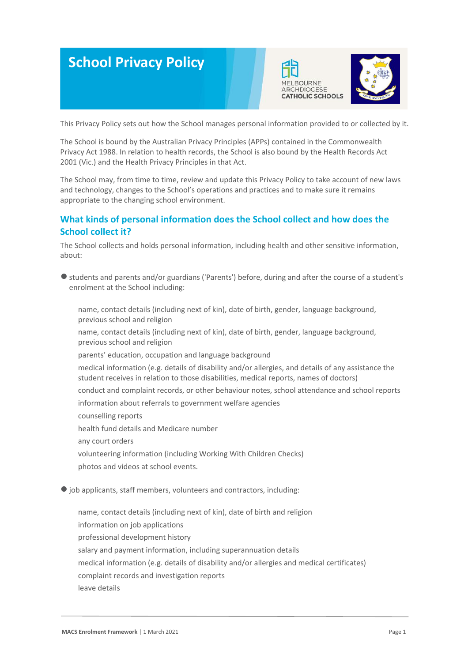# **School Privacy Policy**





This Privacy Policy sets out how the School manages personal information provided to or collected by it.

The School is bound by the Australian Privacy Principles (APPs) contained in the Commonwealth Privacy Act 1988. In relation to health records, the School is also bound by the Health Records Act 2001 (Vic.) and the Health Privacy Principles in that Act.

The School may, from time to time, review and update this Privacy Policy to take account of new laws and technology, changes to the School's operations and practices and to make sure it remains appropriate to the changing school environment.

# **What kinds of personal information does the School collect and how does the School collect it?**

The School collects and holds personal information, including health and other sensitive information, about:

● students and parents and/or guardians ('Parents') before, during and after the course of a student's enrolment at the School including:

-name, contact details (including next of kin), date of birth, gender, language background, previous school and religion

name, contact details (including next of kin), date of birth, gender, language background, previous school and religion

parents' education, occupation and language background

medical information (e.g. details of disability and/or allergies, and details of any assistance the student receives in relation to those disabilities, medical reports, names of doctors)

conduct and complaint records, or other behaviour notes, school attendance and school reports information about referrals to government welfare agencies

-counselling reports

health fund details and Medicare number

any court orders

volunteering information (including Working With Children Checks) photos and videos at school events.

●job applicants, staff members, volunteers and contractors, including:

name, contact details (including next of kin), date of birth and religion information on job applications professional development history salary and payment information, including superannuation details medical information (e.g. details of disability and/or allergies and medical certificates) -complaint records and investigation reports leave details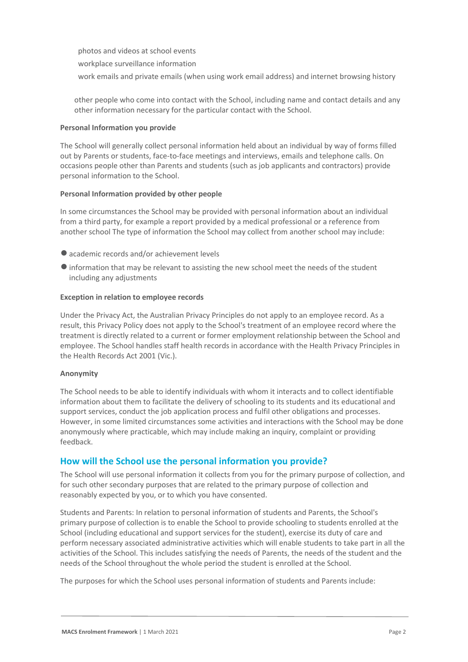photos and videos at school events

workplace surveillance information

work emails and private emails (when using work email address) and internet browsing history

other people who come into contact with the School, including name and contact details and any other information necessary for the particular contact with the School.

#### **Personal Information you provide**

The School will generally collect personal information held about an individual by way of forms filled out by Parents or students, face-to-face meetings and interviews, emails and telephone calls. On occasions people other than Parents and students (such as job applicants and contractors) provide personal information to the School.

## **Personal Information provided by other people**

In some circumstances the School may be provided with personal information about an individual from a third party, for example a report provided by a medical professional or a reference from another school The type of information the School may collect from another school may include:

- academic records and/or achievement levels
- ●information that may be relevant to assisting the new school meet the needs of the student including any adjustments

## **Exception in relation to employee records**

Under the Privacy Act, the Australian Privacy Principles do not apply to an employee record. As a result, this Privacy Policy does not apply to the School's treatment of an employee record where the treatment is directly related to a current or former employment relationship between the School and employee. The School handles staff health records in accordance with the Health Privacy Principles in the Health Records Act 2001 (Vic.).

#### **Anonymity**

The School needs to be able to identify individuals with whom it interacts and to collect identifiable information about them to facilitate the delivery of schooling to its students and its educational and support services, conduct the job application process and fulfil other obligations and processes. However, in some limited circumstances some activities and interactions with the School may be done anonymously where practicable, which may include making an inquiry, complaint or providing feedback.

# **How will the School use the personal information you provide?**

The School will use personal information it collects from you for the primary purpose of collection, and for such other secondary purposes that are related to the primary purpose of collection and reasonably expected by you, or to which you have consented.

Students and Parents: In relation to personal information of students and Parents, the School's primary purpose of collection is to enable the School to provide schooling to students enrolled at the School (including educational and support services for the student), exercise its duty of care and perform necessary associated administrative activities which will enable students to take part in all the activities of the School. This includes satisfying the needs of Parents, the needs of the student and the needs of the School throughout the whole period the student is enrolled at the School.

The purposes for which the School uses personal information of students and Parents include: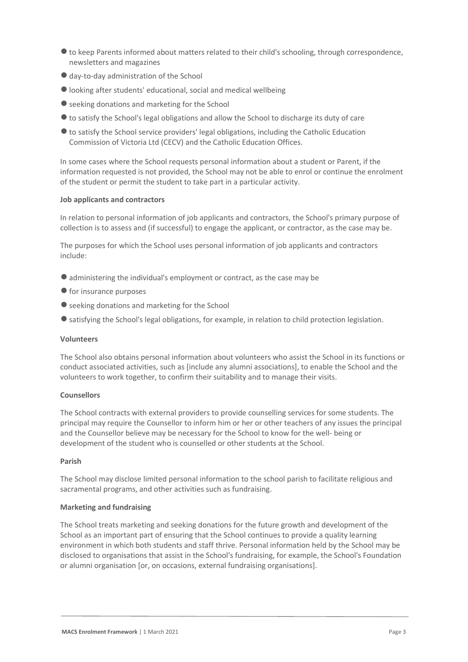- ●to keep Parents informed about matters related to their child's schooling, through correspondence, newsletters and magazines
- day-to-day administration of the School
- looking after students' educational, social and medical wellbeing
- seeking donations and marketing for the School
- ●to satisfy the School's legal obligations and allow the School to discharge its duty of care
- ●to satisfy the School service providers' legal obligations, including the Catholic Education Commission of Victoria Ltd (CECV) and the Catholic Education Offices.

In some cases where the School requests personal information about a student or Parent, if the information requested is not provided, the School may not be able to enrol or continue the enrolment of the student or permit the student to take part in a particular activity.

## **Job applicants and contractors**

In relation to personal information of job applicants and contractors, the School's primary purpose of collection is to assess and (if successful) to engage the applicant, or contractor, as the case may be.

The purposes for which the School uses personal information of job applicants and contractors include:

- administering the individual's employment or contract, as the case may be
- for insurance purposes
- seeking donations and marketing for the School
- satisfying the School's legal obligations, for example, in relation to child protection legislation.

# **Volunteers**

The School also obtains personal information about volunteers who assist the School in its functions or conduct associated activities, such as [include any alumni associations], to enable the School and the volunteers to work together, to confirm their suitability and to manage their visits.

# **Counsellors**

The School contracts with external providers to provide counselling services for some students. The principal may require the Counsellor to inform him or her or other teachers of any issues the principal and the Counsellor believe may be necessary for the School to know for the well- being or development of the student who is counselled or other students at the School.

# **Parish**

The School may disclose limited personal information to the school parish to facilitate religious and sacramental programs, and other activities such as fundraising.

# **Marketing and fundraising**

The School treats marketing and seeking donations for the future growth and development of the School as an important part of ensuring that the School continues to provide a quality learning environment in which both students and staff thrive. Personal information held by the School may be disclosed to organisations that assist in the School's fundraising, for example, the School's Foundation or alumni organisation [or, on occasions, external fundraising organisations].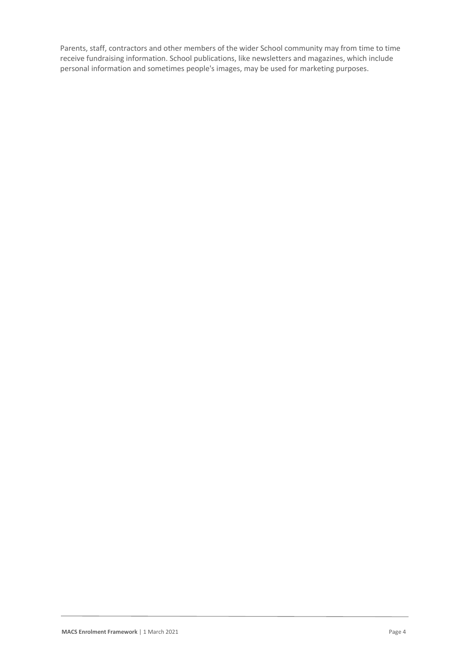Parents, staff, contractors and other members of the wider School community may from time to time receive fundraising information. School publications, like newsletters and magazines, which include personal information and sometimes people's images, may be used for marketing purposes.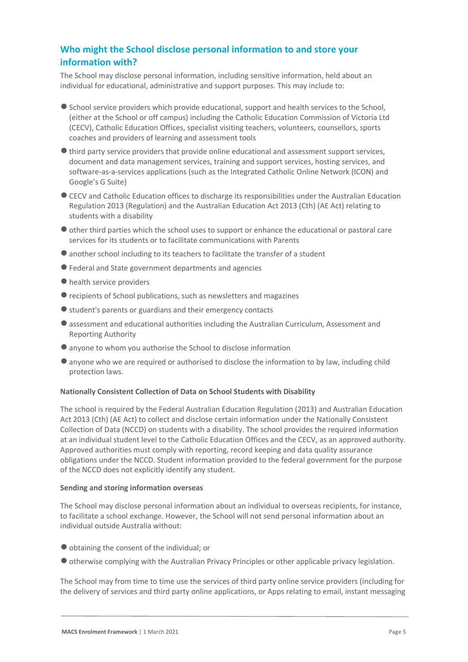# **Who might the School disclose personal information to and store your information with?**

The School may disclose personal information, including sensitive information, held about an individual for educational, administrative and support purposes. This may include to:

- ●School service providers which provide educational, support and health services to the School, (either at the School or off campus) including the Catholic Education Commission of Victoria Ltd (CECV), Catholic Education Offices, specialist visiting teachers, volunteers, counsellors, sports coaches and providers of learning and assessment tools
- ●third party service providers that provide online educational and assessment support services, document and data management services, training and support services, hosting services, and software-as-a-services applications (such as the Integrated Catholic Online Network (ICON) and Google's G Suite)
- ●CECV and Catholic Education offices to discharge its responsibilities under the Australian Education Regulation 2013 (Regulation) and the Australian Education Act 2013 (Cth) (AE Act) relating to students with a disability
- ●other third parties which the school uses to support or enhance the educational or pastoral care services for its students or to facilitate communications with Parents
- another school including to its teachers to facilitate the transfer of a student
- ●Federal and State government departments and agencies
- health service providers
- ●recipients of School publications, such as newsletters and magazines
- student's parents or guardians and their emergency contacts
- ●assessment and educational authorities including the Australian Curriculum, Assessment and Reporting Authority
- ●anyone to whom you authorise the School to disclose information
- ●anyone who we are required or authorised to disclose the information to by law, including child protection laws.

#### **Nationally Consistent Collection of Data on School Students with Disability**

The school is required by the Federal Australian Education Regulation (2013) and Australian Education Act 2013 (Cth) (AE Act) to collect and disclose certain information under the Nationally Consistent Collection of Data (NCCD) on students with a disability. The school provides the required information at an individual student level to the Catholic Education Offices and the CECV, as an approved authority. Approved authorities must comply with reporting, record keeping and data quality assurance obligations under the NCCD. Student information provided to the federal government for the purpose of the NCCD does not explicitly identify any student.

#### **Sending and storing information overseas**

The School may disclose personal information about an individual to overseas recipients, for instance, to facilitate a school exchange. However, the School will not send personal information about an individual outside Australia without:

- ●obtaining the consent of the individual; or
- ●otherwise complying with the Australian Privacy Principles or other applicable privacy legislation.

The School may from time to time use the services of third party online service providers (including for the delivery of services and third party online applications, or Apps relating to email, instant messaging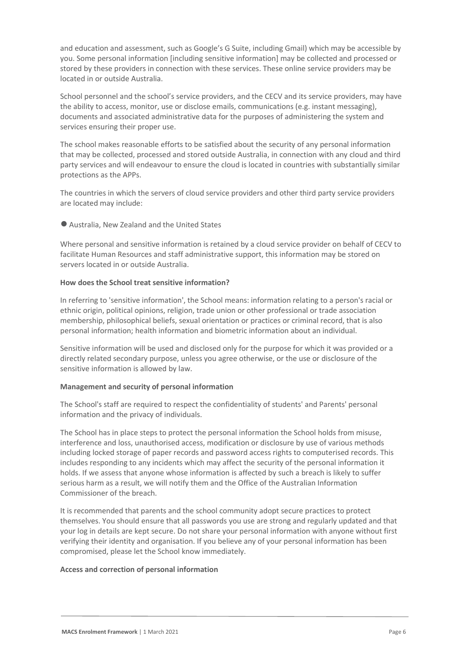and education and assessment, such as Google's G Suite, including Gmail) which may be accessible by you. Some personal information [including sensitive information] may be collected and processed or stored by these providers in connection with these services. These online service providers may be located in or outside Australia.

School personnel and the school's service providers, and the CECV and its service providers, may have the ability to access, monitor, use or disclose emails, communications (e.g. instant messaging), documents and associated administrative data for the purposes of administering the system and services ensuring their proper use.

The school makes reasonable efforts to be satisfied about the security of any personal information that may be collected, processed and stored outside Australia, in connection with any cloud and third party services and will endeavour to ensure the cloud is located in countries with substantially similar protections as the APPs.

The countries in which the servers of cloud service providers and other third party service providers are located may include:

# ●Australia, New Zealand and the United States

Where personal and sensitive information is retained by a cloud service provider on behalf of CECV to facilitate Human Resources and staff administrative support, this information may be stored on servers located in or outside Australia.

#### **How does the School treat sensitive information?**

In referring to 'sensitive information', the School means: information relating to a person's racial or ethnic origin, political opinions, religion, trade union or other professional or trade association membership, philosophical beliefs, sexual orientation or practices or criminal record, that is also personal information; health information and biometric information about an individual.

Sensitive information will be used and disclosed only for the purpose for which it was provided or a directly related secondary purpose, unless you agree otherwise, or the use or disclosure of the sensitive information is allowed by law.

#### **Management and security of personal information**

The School's staff are required to respect the confidentiality of students' and Parents' personal information and the privacy of individuals.

The School has in place steps to protect the personal information the School holds from misuse, interference and loss, unauthorised access, modification or disclosure by use of various methods including locked storage of paper records and password access rights to computerised records. This includes responding to any incidents which may affect the security of the personal information it holds. If we assess that anyone whose information is affected by such a breach is likely to suffer serious harm as a result, we will notify them and the Office of the Australian Information Commissioner of the breach.

It is recommended that parents and the school community adopt secure practices to protect themselves. You should ensure that all passwords you use are strong and regularly updated and that your log in details are kept secure. Do not share your personal information with anyone without first verifying their identity and organisation. If you believe any of your personal information has been compromised, please let the School know immediately.

#### **Access and correction of personal information**